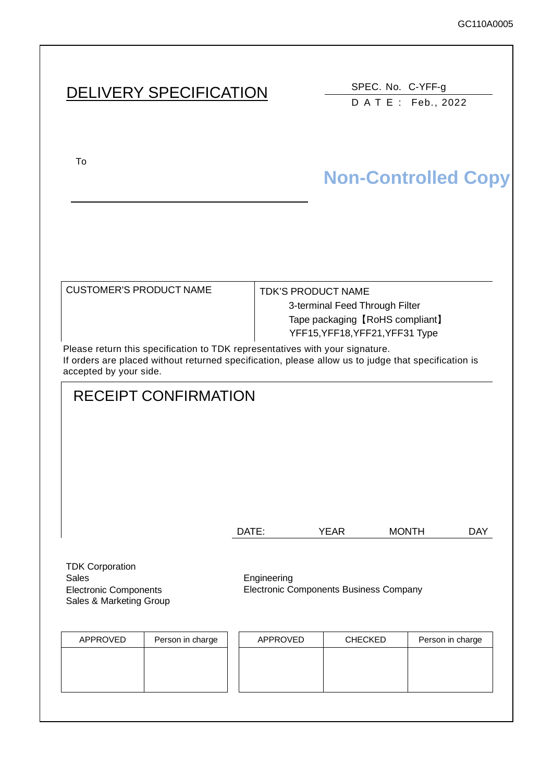SPEC. No. C-YFF-g DATE: Feb., 2022

To upon the acceptance of this spec. previous spec. previous spec. previous spec. previous spec. previous spec.

# **Non-Controlled Copy**

| <b>CUSTOMER'S PRODUCT NAME</b>                                              | <b>TDK'S PRODUCT NAME</b>       |
|-----------------------------------------------------------------------------|---------------------------------|
|                                                                             | 3-terminal Feed Through Filter  |
|                                                                             | Tape packaging [RoHS compliant] |
|                                                                             | YFF15, YFF18, YFF21, YFF31 Type |
| Please return this specification to TDK representatives with your signature |                                 |

Please return this specification to TDK representatives with your signature. If orders are placed without returned specification, please allow us to judge that specification is accepted by your side.

# RECEIPT CONFIRMATION

| DATE: | YEAR | <b>MONTH</b> | DAY |
|-------|------|--------------|-----|
|       |      |              |     |

TDK Corporation Sales **Engineering** Electronic Components Sales & Marketing Group

Electronic Components Business Company

| APPROVED | Person in charge | APPROVED | <b>CHECKED</b> | Person in charge |
|----------|------------------|----------|----------------|------------------|
|          |                  |          |                |                  |
|          |                  |          |                |                  |
|          |                  |          |                |                  |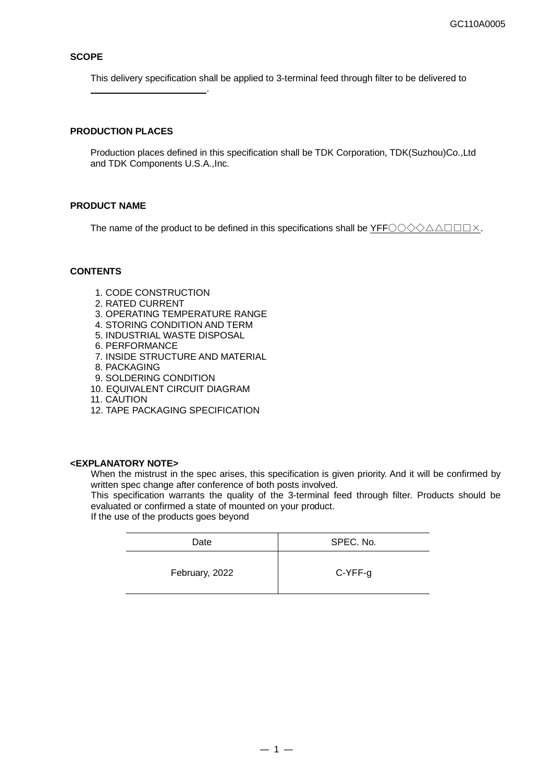#### **SCOPE**

This delivery specification shall be applied to 3-terminal feed through filter to be delivered to

### **PRODUCTION PLACES**

.

Production places defined in this specification shall be TDK Corporation, TDK(Suzhou)Co.,Ltd and TDK Components U.S.A.,Inc.

#### **PRODUCT NAME**

The name of the product to be defined in this specifications shall be YFFOO 
SAA I

#### **CONTENTS**

- 1. CODE CONSTRUCTION
- 2. RATED CURRENT
- 3. OPERATING TEMPERATURE RANGE
- 4. STORING CONDITION AND TERM
- 5. INDUSTRIAL WASTE DISPOSAL
- 6. PERFORMANCE
- 7. INSIDE STRUCTURE AND MATERIAL
- 8. PACKAGING
- 9. SOLDERING CONDITION
- 10. EQUIVALENT CIRCUIT DIAGRAM
- 11. CAUTION
- 12. TAPE PACKAGING SPECIFICATION

#### **<EXPLANATORY NOTE>**

When the mistrust in the spec arises, this specification is given priority. And it will be confirmed by written spec change after conference of both posts involved.

This specification warrants the quality of the 3-terminal feed through filter. Products should be evaluated or confirmed a state of mounted on your product.

If the use of the products goes beyond

| Date           | SPEC. No. |
|----------------|-----------|
| February, 2022 | C-YFF-g   |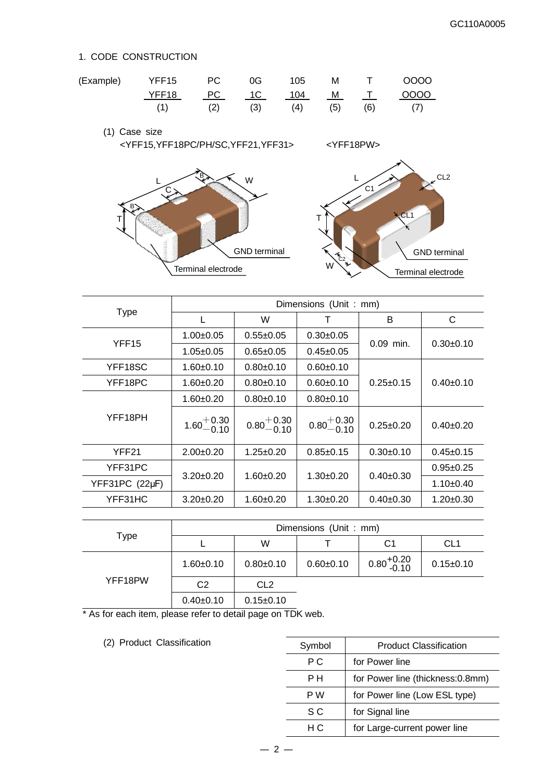### 1. CODE CONSTRUCTION

| (Example) | YFF15 | PC 0G                |     | 105 |     | M T | 0000 |
|-----------|-------|----------------------|-----|-----|-----|-----|------|
|           | YFF18 | <u>PC 1C 104 M T</u> |     |     |     |     | 0000 |
|           |       | (2)                  | (3) | (4) | (5) | (6) |      |

(1) Case size <YFF15,YFF18PC/PH/SC,YFF21,YFF31> <YFF18PW>



|                   | Dimensions (Unit: mm)  |                        |                        |                 |                 |
|-------------------|------------------------|------------------------|------------------------|-----------------|-----------------|
| <b>Type</b>       | L                      | W                      | т                      | B               | C               |
| YFF <sub>15</sub> | $1.00 \pm 0.05$        | $0.55 \pm 0.05$        | $0.30+0.05$            |                 |                 |
|                   | $1.05 \pm 0.05$        | $0.65 \pm 0.05$        | $0.45 \pm 0.05$        | $0.09$ min.     | $0.30+0.10$     |
| YFF18SC           | $1.60 + 0.10$          | $0.80+0.10$            | $0.60 + 0.10$          |                 |                 |
| YFF18PC           | $1.60 + 0.20$          | $0.80+0.10$            | $0.60 + 0.10$          | $0.25 \pm 0.15$ | $0.40+0.10$     |
|                   | $1.60 + 0.20$          | $0.80+0.10$            | $0.80 + 0.10$          |                 |                 |
| YFF18PH           | $1.60^{+0.30}_{-0.10}$ | $0.80^{+0.30}_{-0.10}$ | $0.80^{+0.30}_{-0.10}$ | $0.25 \pm 0.20$ | $0.40+0.20$     |
| YFF21             | $2.00+0.20$            | $1.25 \pm 0.20$        | $0.85 \pm 0.15$        | $0.30+0.10$     | $0.45+0.15$     |
| YFF31PC           | $3.20 \pm 0.20$        |                        | $1.30+0.20$            | $0.40+0.30$     | $0.95 + 0.25$   |
| YFF31PC (22µF)    |                        | $1.60 + 0.20$          |                        |                 | $1.10+0.40$     |
| YFF31HC           | $3.20 \pm 0.20$        | $1.60 \pm 0.20$        | $1.30+0.20$            | $0.40 \pm 0.30$ | $1.20 \pm 0.30$ |

|         |               |                 | Dimensions (Unit: mm) |                        |                 |
|---------|---------------|-----------------|-----------------------|------------------------|-----------------|
| Type    |               | W               |                       | C1                     | CL <sub>1</sub> |
|         | $1.60 + 0.10$ | $0.80 + 0.10$   | $0.60 \pm 0.10$       | $0.80_{-0.10}^{+0.20}$ | $0.15 \pm 0.10$ |
| YFF18PW | C2            | CL <sub>2</sub> |                       |                        |                 |
|         | 0.40.0.40     | 0.4E.0.4D       |                       |                        |                 |

 $0.40\pm0.10$  0.15 $\pm$ 0.10

\* As for each item, please refer to detail page on TDK web.

(2) Product Classification

| Symbol | <b>Product Classification</b>     |
|--------|-----------------------------------|
| РC     | for Power line                    |
| PН     | for Power line (thickness: 0.8mm) |
| P W    | for Power line (Low ESL type)     |
| S C    | for Signal line                   |
| нc     | for Large-current power line      |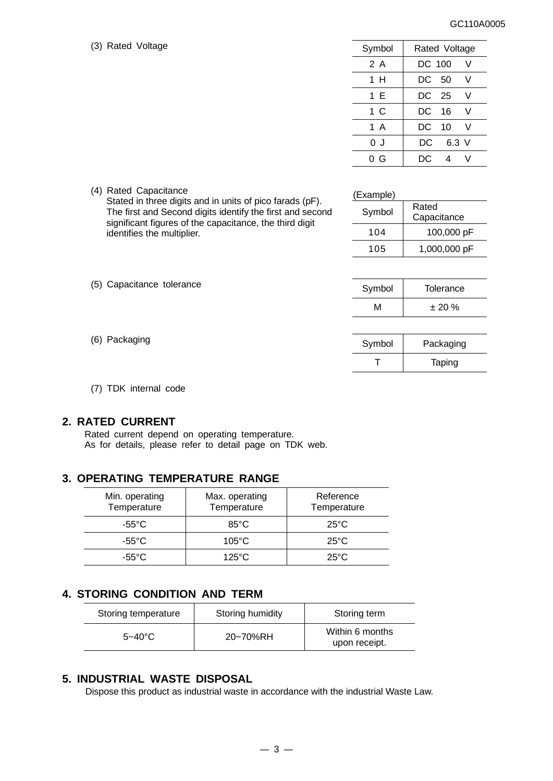#### GC110A0005

(3) Rated Voltage

| Symbol | Rated Voltage    |
|--------|------------------|
| 2 A    | DC 100<br>V      |
| 1 H    | DC -<br>-50<br>V |
| 1 E    | DC 25<br>V       |
| 1 C    | DC.<br>- 16<br>V |
| 1 A    | DC.<br>10<br>V   |
| 0 J    | DC<br>$6.3$ V    |
| 0 G    | DC.<br>4         |

|  |  | (4) Rated Capacitance |
|--|--|-----------------------|
|--|--|-----------------------|

(5) Capacitance tolerance

Stated in three digits and in units of pico farads (pF). The first and Second digits identify the first and second significant figures of the capacitance, the third digit identifies the multiplier.

| Rated<br>Capacitance |
|----------------------|
| 100,000 pF           |
| 1,000,000 pF         |
|                      |

| Symbol | Tolerance |
|--------|-----------|
| м      | $± 20 \%$ |

T | Taping

| (6) Packaging | Svmbol | Packaging |
|---------------|--------|-----------|
|               |        |           |

- 
- (7) TDK internal code

### **2. RATED CURRENT**

 Rated current depend on operating temperature. As for details, please refer to detail page on TDK web.

### **3. OPERATING TEMPERATURE RANGE**

| Min. operating<br>Temperature | Max. operating<br>Temperature | Reference<br>Temperature |
|-------------------------------|-------------------------------|--------------------------|
| $-55^{\circ}$ C               | $85^{\circ}$ C                | $25^{\circ}$ C           |
| -55°C.                        | $105^{\circ}$ C               | $25^{\circ}$ C           |
| -55°C                         | $125^{\circ}$ C               | $25^{\circ}$ C           |

### **4. STORING CONDITION AND TERM**

| Storing temperature | Storing humidity | Storing term                     |
|---------------------|------------------|----------------------------------|
| $5 - 40^{\circ}$ C  | 20~70%RH         | Within 6 months<br>upon receipt. |

### **5. INDUSTRIAL WASTE DISPOSAL**

Dispose this product as industrial waste in accordance with the industrial Waste Law.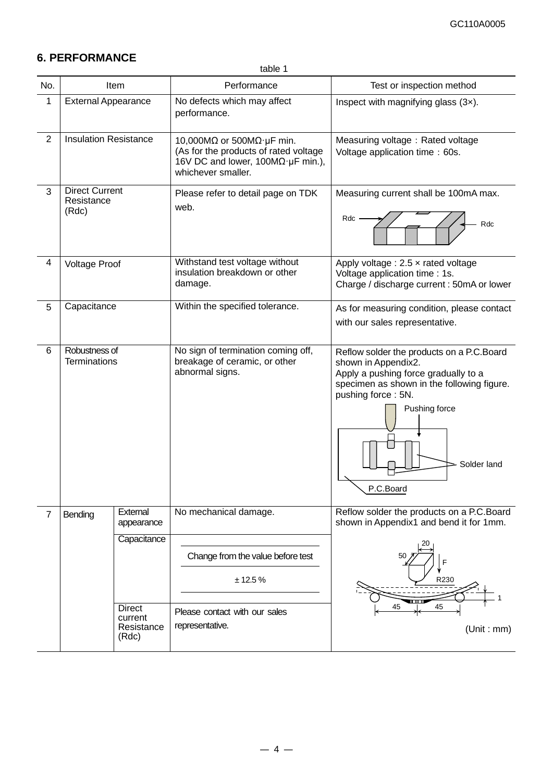# **6. PERFORMANCE**

table 1

| No.            |                                              | Item                                            | Performance                                                                                                                                     | Test or inspection method                                                                                                                                                                                                 |
|----------------|----------------------------------------------|-------------------------------------------------|-------------------------------------------------------------------------------------------------------------------------------------------------|---------------------------------------------------------------------------------------------------------------------------------------------------------------------------------------------------------------------------|
| 1              | <b>External Appearance</b>                   |                                                 | No defects which may affect<br>performance.                                                                                                     | Inspect with magnifying glass $(3x)$ .                                                                                                                                                                                    |
| $\overline{2}$ | <b>Insulation Resistance</b>                 |                                                 | 10,000M $\Omega$ or 500M $\Omega$ · µF min.<br>(As for the products of rated voltage<br>16V DC and lower, 100ΜΩ·μF min.),<br>whichever smaller. | Measuring voltage: Rated voltage<br>Voltage application time : 60s.                                                                                                                                                       |
| 3              | <b>Direct Current</b><br>Resistance<br>(Rdc) |                                                 | Please refer to detail page on TDK<br>web.                                                                                                      | Measuring current shall be 100mA max.<br>Rdc<br>Rdc                                                                                                                                                                       |
| 4              | <b>Voltage Proof</b>                         |                                                 | Withstand test voltage without<br>insulation breakdown or other<br>damage.                                                                      | Apply voltage : $2.5 \times$ rated voltage<br>Voltage application time : 1s.<br>Charge / discharge current : 50mA or lower                                                                                                |
| 5              | Capacitance                                  |                                                 | Within the specified tolerance.                                                                                                                 | As for measuring condition, please contact<br>with our sales representative.                                                                                                                                              |
| 6              | Robustness of<br><b>Terminations</b>         |                                                 | No sign of termination coming off,<br>breakage of ceramic, or other<br>abnormal signs.                                                          | Reflow solder the products on a P.C.Board<br>shown in Appendix2.<br>Apply a pushing force gradually to a<br>specimen as shown in the following figure.<br>pushing force: 5N.<br>Pushing force<br>Solder land<br>P.C.Board |
| 7              | Bending                                      | External<br>appearance<br>Capacitance           | No mechanical damage.<br>Change from the value before test<br>± 12.5%                                                                           | Reflow solder the products on a P.C.Board<br>shown in Appendix1 and bend it for 1mm.<br>50<br>R230                                                                                                                        |
|                |                                              | <b>Direct</b><br>current<br>Resistance<br>(Rdc) | Please contact with our sales<br>representative.                                                                                                | 45<br>45<br>(Unit : mm)                                                                                                                                                                                                   |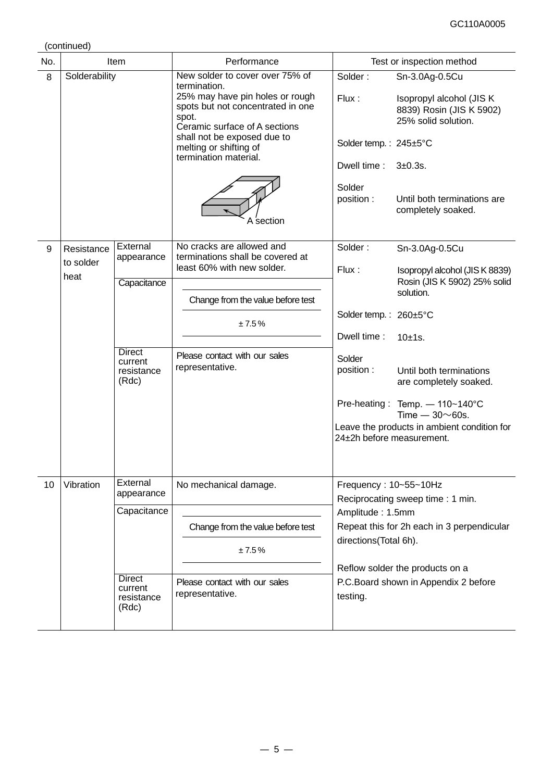(continued)

| No. | Item              |                                                 | Performance                                                                                                                                                       |                           | Test or inspection method                                                                      |
|-----|-------------------|-------------------------------------------------|-------------------------------------------------------------------------------------------------------------------------------------------------------------------|---------------------------|------------------------------------------------------------------------------------------------|
| 8   | Solderability     |                                                 | New solder to cover over 75% of<br>termination.<br>25% may have pin holes or rough<br>spots but not concentrated in one<br>spot.<br>Ceramic surface of A sections | Solder:<br>Flux:          | Sn-3.0Ag-0.5Cu<br>Isopropyl alcohol (JIS K)<br>8839) Rosin (JIS K 5902)<br>25% solid solution. |
|     |                   |                                                 | shall not be exposed due to<br>melting or shifting of<br>termination material.                                                                                    | Solder temp.: 245±5°C     |                                                                                                |
|     |                   |                                                 |                                                                                                                                                                   | Dwell time:               | $3+0.3s$ .                                                                                     |
|     |                   |                                                 | A section                                                                                                                                                         | Solder<br>position:       | Until both terminations are<br>completely soaked.                                              |
| 9   | Resistance        | External<br>appearance                          | No cracks are allowed and<br>terminations shall be covered at                                                                                                     | Solder:                   | Sn-3.0Ag-0.5Cu                                                                                 |
|     | to solder<br>heat | Capacitance                                     | least 60% with new solder.<br>Change from the value before test<br>±7.5%                                                                                          | Flux:<br>solution.        | Isopropyl alcohol (JIS K 8839)<br>Rosin (JIS K 5902) 25% solid                                 |
|     |                   |                                                 |                                                                                                                                                                   | Solder temp.: 260±5°C     |                                                                                                |
|     |                   |                                                 |                                                                                                                                                                   | Dwell time:               | 10±1s.                                                                                         |
|     |                   | <b>Direct</b><br>current<br>resistance<br>(Rdc) | Please contact with our sales<br>representative.                                                                                                                  | Solder<br>position :      | Until both terminations<br>are completely soaked.                                              |
|     |                   |                                                 |                                                                                                                                                                   |                           | Pre-heating: Temp. - 110~140°C<br>Time $-30\nu$ 60s.                                           |
|     |                   |                                                 |                                                                                                                                                                   | 24±2h before measurement. | Leave the products in ambient condition for                                                    |
| 10  | Vibration         | External<br>appearance                          | No mechanical damage.                                                                                                                                             | Frequency: 10~55~10Hz     | Reciprocating sweep time: 1 min.                                                               |
|     |                   | Capacitance                                     |                                                                                                                                                                   | Amplitude: 1.5mm          |                                                                                                |
|     |                   |                                                 | Change from the value before test                                                                                                                                 | directions(Total 6h).     | Repeat this for 2h each in 3 perpendicular                                                     |
|     |                   |                                                 | ±7.5%                                                                                                                                                             |                           |                                                                                                |
|     |                   | <b>Direct</b><br>current<br>resistance<br>(Rdc) | Please contact with our sales<br>representative.                                                                                                                  | testing.                  | Reflow solder the products on a<br>P.C.Board shown in Appendix 2 before                        |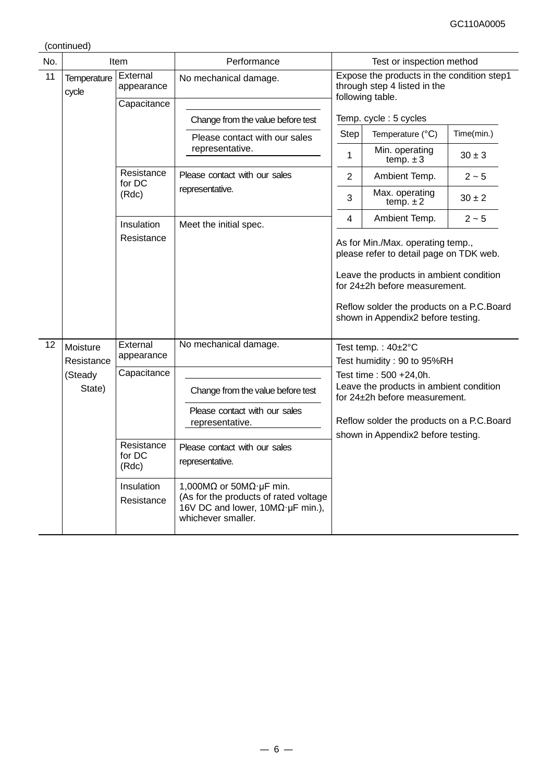(continued)

| No. | Item                                           |                               | Performance                                                                                                                                  | Test or inspection method                                                                                                                                                                                                                   |                                                                                 |            |  |
|-----|------------------------------------------------|-------------------------------|----------------------------------------------------------------------------------------------------------------------------------------------|---------------------------------------------------------------------------------------------------------------------------------------------------------------------------------------------------------------------------------------------|---------------------------------------------------------------------------------|------------|--|
| 11  | External<br>Temperature<br>appearance<br>cycle |                               | No mechanical damage.                                                                                                                        | Expose the products in the condition step1<br>through step 4 listed in the<br>following table.                                                                                                                                              |                                                                                 |            |  |
|     |                                                | Capacitance                   |                                                                                                                                              |                                                                                                                                                                                                                                             | Temp. cycle: 5 cycles                                                           |            |  |
|     |                                                |                               | Change from the value before test                                                                                                            | <b>Step</b>                                                                                                                                                                                                                                 | Temperature (°C)                                                                | Time(min.) |  |
|     |                                                |                               | Please contact with our sales<br>representative.                                                                                             | 1                                                                                                                                                                                                                                           | Min. operating<br>temp. $\pm 3$                                                 | $30 \pm 3$ |  |
|     |                                                | Resistance<br>for DC          | Please contact with our sales                                                                                                                | 2                                                                                                                                                                                                                                           | Ambient Temp.                                                                   | $2 - 5$    |  |
|     |                                                | (Rdc)                         | representative.                                                                                                                              | 3                                                                                                                                                                                                                                           | Max. operating<br>temp. $\pm 2$                                                 | $30 \pm 2$ |  |
|     |                                                | Insulation                    | Meet the initial spec.                                                                                                                       | 4                                                                                                                                                                                                                                           | Ambient Temp.                                                                   | $2 - 5$    |  |
|     |                                                | Resistance                    |                                                                                                                                              | As for Min./Max. operating temp.,<br>please refer to detail page on TDK web.<br>Leave the products in ambient condition<br>for 24±2h before measurement.<br>Reflow solder the products on a P.C.Board<br>shown in Appendix2 before testing. |                                                                                 |            |  |
| 12  | Moisture                                       | External<br>appearance        | No mechanical damage.                                                                                                                        |                                                                                                                                                                                                                                             | Test temp.: 40±2°C                                                              |            |  |
|     | Resistance                                     | Capacitance                   |                                                                                                                                              |                                                                                                                                                                                                                                             | Test humidity: 90 to 95%RH                                                      |            |  |
|     | (Steady<br>State)                              |                               | Change from the value before test                                                                                                            | Test time : 500 +24,0h.<br>Leave the products in ambient condition<br>for 24±2h before measurement.                                                                                                                                         |                                                                                 |            |  |
|     |                                                |                               | Please contact with our sales<br>representative.                                                                                             |                                                                                                                                                                                                                                             | Reflow solder the products on a P.C.Board<br>shown in Appendix2 before testing. |            |  |
|     |                                                | Resistance<br>for DC<br>(Rdc) | Please contact with our sales<br>representative.                                                                                             |                                                                                                                                                                                                                                             |                                                                                 |            |  |
|     |                                                | Insulation<br>Resistance      | 1,000M $\Omega$ or 50M $\Omega$ · µF min.<br>(As for the products of rated voltage<br>16V DC and lower, 10ΜΩ·μF min.),<br>whichever smaller. |                                                                                                                                                                                                                                             |                                                                                 |            |  |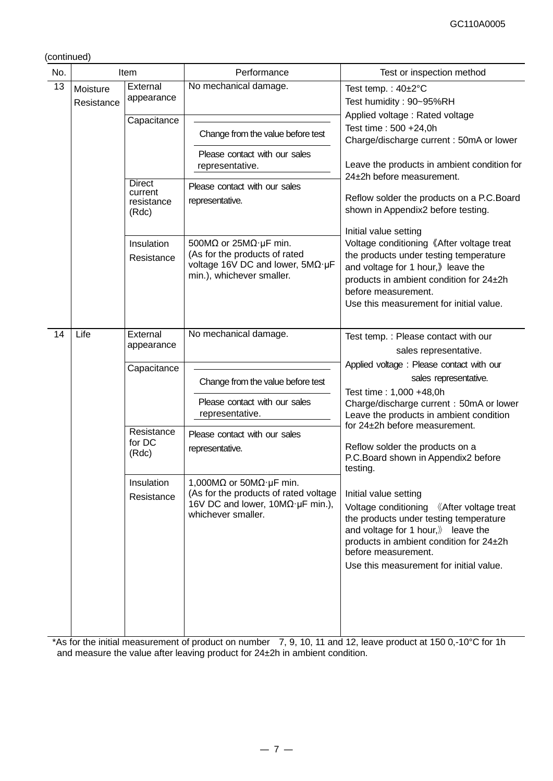(continued)

| No. | Item                   |                                                 | Performance                                                                                                                                                  | Test or inspection method                                                                                                                                                                                                                                                    |
|-----|------------------------|-------------------------------------------------|--------------------------------------------------------------------------------------------------------------------------------------------------------------|------------------------------------------------------------------------------------------------------------------------------------------------------------------------------------------------------------------------------------------------------------------------------|
| 13  | Moisture<br>Resistance | External<br>appearance                          | No mechanical damage.                                                                                                                                        | Test temp.: $40\pm2^{\circ}C$<br>Test humidity: 90~95%RH                                                                                                                                                                                                                     |
|     |                        | Capacitance                                     | Change from the value before test<br>Please contact with our sales                                                                                           | Applied voltage: Rated voltage<br>Test time: 500 +24,0h<br>Charge/discharge current: 50mA or lower                                                                                                                                                                           |
|     |                        |                                                 | representative.                                                                                                                                              | Leave the products in ambient condition for<br>24±2h before measurement.                                                                                                                                                                                                     |
|     |                        | <b>Direct</b><br>current<br>resistance<br>(Rdc) | Please contact with our sales<br>representative.                                                                                                             | Reflow solder the products on a P.C.Board<br>shown in Appendix2 before testing.<br>Initial value setting                                                                                                                                                                     |
|     |                        | Insulation<br>Resistance                        | 500M $\Omega$ or 25M $\Omega$ · µF min.<br>(As for the products of rated<br>voltage 16V DC and lower, 5ΜΩ·μF<br>min.), whichever smaller.                    | Voltage conditioning 《After voltage treat<br>the products under testing temperature<br>and voltage for 1 hour, leave the<br>products in ambient condition for 24±2h<br>before measurement.<br>Use this measurement for initial value.                                        |
| 14  | Life                   | External<br>appearance                          | No mechanical damage.                                                                                                                                        | Test temp.: Please contact with our<br>sales representative.                                                                                                                                                                                                                 |
|     |                        | Capacitance                                     | Change from the value before test                                                                                                                            | Applied voltage: Please contact with our<br>sales representative.<br>Test time: 1,000 +48,0h                                                                                                                                                                                 |
|     |                        |                                                 | Please contact with our sales<br>representative.                                                                                                             | Charge/discharge current: 50mA or lower<br>Leave the products in ambient condition<br>for 24±2h before measurement.                                                                                                                                                          |
|     |                        | Resistance<br>for DC<br>(Rdc)                   | Please contact with our sales<br>representative.                                                                                                             | Reflow solder the products on a<br>P.C.Board shown in Appendix2 before<br>testing.                                                                                                                                                                                           |
|     |                        | Insulation<br>Resistance                        | 1,000M $\Omega$ or 50M $\Omega$ · µF min.<br>(As for the products of rated voltage<br>16V DC and lower, $10M\Omega \cdot \mu F$ min.),<br>whichever smaller. | Initial value setting<br>Voltage conditioning 《After voltage treat<br>the products under testing temperature<br>and voltage for 1 hour, $\mathcal{Y}$ leave the<br>products in ambient condition for 24±2h<br>before measurement.<br>Use this measurement for initial value. |

\*As for the initial measurement of product on number 7, 9, 10, 11 and 12, leave product at 150 0,-10°C for 1h and measure the value after leaving product for 24±2h in ambient condition.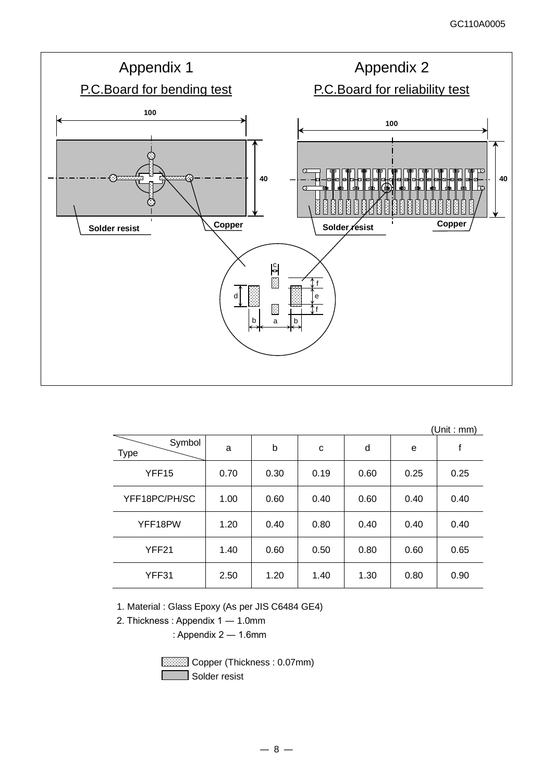

|                       |      |      |      |      |      | (Unit : mm) |
|-----------------------|------|------|------|------|------|-------------|
| Symbol<br><b>Type</b> | a    | b    | c    | d    | e    | f           |
| YFF <sub>15</sub>     | 0.70 | 0.30 | 0.19 | 0.60 | 0.25 | 0.25        |
| YFF18PC/PH/SC         | 1.00 | 0.60 | 0.40 | 0.60 | 0.40 | 0.40        |
| YFF18PW               | 1.20 | 0.40 | 0.80 | 0.40 | 0.40 | 0.40        |
| YFF21                 | 1.40 | 0.60 | 0.50 | 0.80 | 0.60 | 0.65        |
| YFF31                 | 2.50 | 1.20 | 1.40 | 1.30 | 0.80 | 0.90        |

1. Material : Glass Epoxy (As per JIS C6484 GE4)

2. Thickness : Appendix 1 ― 1.0mm

: Appendix 2 ― 1.6mm

 Copper (Thickness : 0.07mm) Solder resist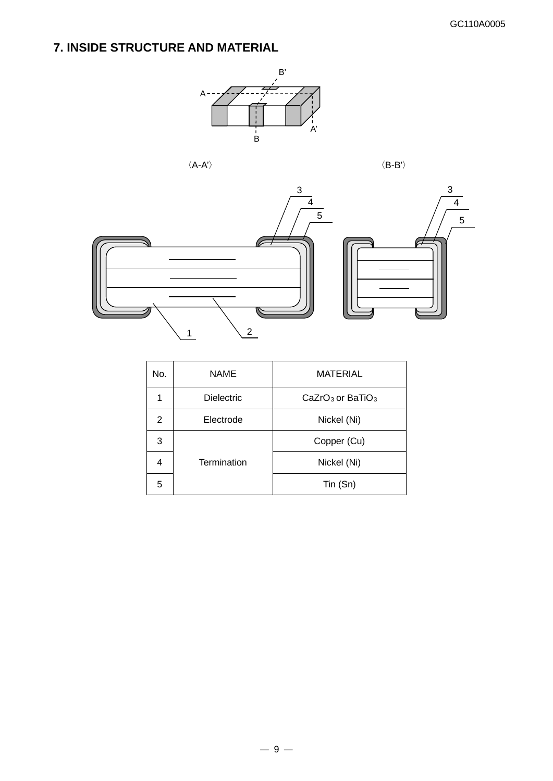# **7. INSIDE STRUCTURE AND MATERIAL**



 $\langle \mathsf{A}\text{-}\mathsf{A}'\rangle \qquad \qquad \langle \mathsf{B}\text{-}\mathsf{B}'\rangle$ 



| No.            | <b>NAME</b>       | <b>MATERIAL</b>                |
|----------------|-------------------|--------------------------------|
|                | <b>Dielectric</b> | $CaZrO3$ or BaTiO <sub>3</sub> |
| $\overline{2}$ | Electrode         | Nickel (Ni)                    |
| 3              |                   | Copper (Cu)                    |
| 4              | Termination       | Nickel (Ni)                    |
| 5              |                   | Tin (Sn)                       |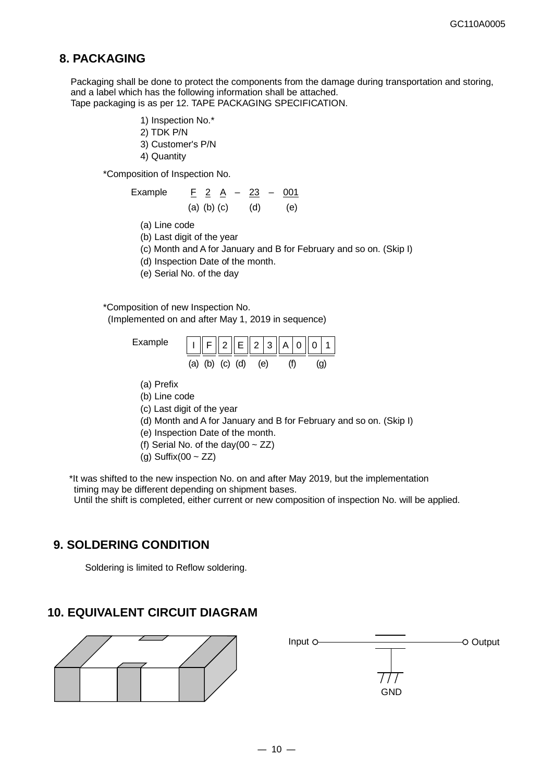### **8. PACKAGING**

Packaging shall be done to protect the components from the damage during transportation and storing, and a label which has the following information shall be attached. Tape packaging is as per 12. TAPE PACKAGING SPECIFICATION.

- 1) Inspection No.\*
- 2) TDK P/N
- 3) Customer's P/N
- 4) Quantity

\*Composition of Inspection No.

Example 
$$
\underline{F} \; 2 \; \underline{A} \; - \; 23 \; - \; 001
$$
  
(a) (b) (c) (d) (e)

(a) Line code

(b) Last digit of the year

- (c) Month and A for January and B for February and so on. (Skip I)
- (d) Inspection Date of the month.
- (e) Serial No. of the day

\*Composition of new Inspection No.

(Implemented on and after May 1, 2019 in sequence)



- (a) Prefix
- (b) Line code
- (c) Last digit of the year
- (d) Month and A for January and B for February and so on. (Skip I)
- (e) Inspection Date of the month.
- (f) Serial No. of the day(00  $\sim$  ZZ)
- (g) Suffix(00  $\sim$  ZZ)

\*It was shifted to the new inspection No. on and after May 2019, but the implementation timing may be different depending on shipment bases. Until the shift is completed, either current or new composition of inspection No. will be applied.

### **9. SOLDERING CONDITION**

Soldering is limited to Reflow soldering.

### **10. EQUIVALENT CIRCUIT DIAGRAM**



 $111$ **GND**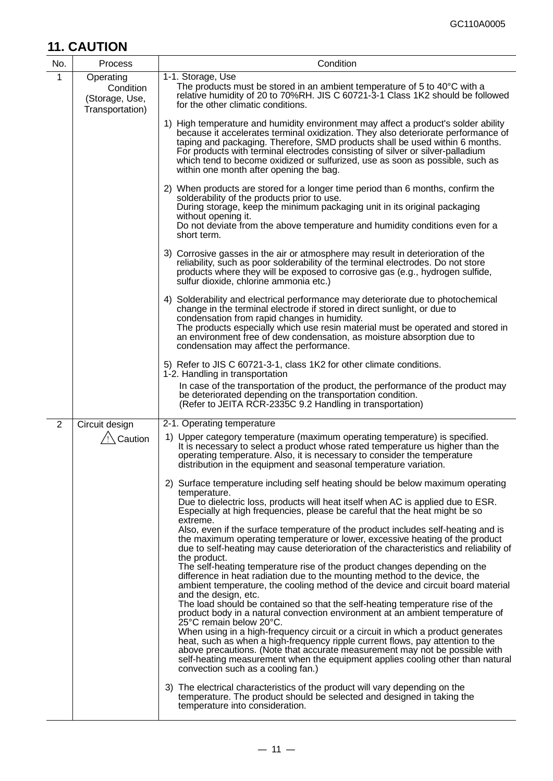# **11. CAUTION**

| No.            | Process                                                     | Condition                                                                                                                                                                                                                                                                                                                                                                                                                                                             |
|----------------|-------------------------------------------------------------|-----------------------------------------------------------------------------------------------------------------------------------------------------------------------------------------------------------------------------------------------------------------------------------------------------------------------------------------------------------------------------------------------------------------------------------------------------------------------|
| 1              | Operating<br>Condition<br>(Storage, Use,<br>Transportation) | 1-1. Storage, Use<br>The products must be stored in an ambient temperature of 5 to $40^{\circ}$ C with a<br>relative humidity of 20 to 70%RH. JIS C 60721-3-1 Class 1K2 should be followed<br>for the other climatic conditions.                                                                                                                                                                                                                                      |
|                |                                                             | 1) High temperature and humidity environment may affect a product's solder ability<br>because it accelerates terminal oxidization. They also deteriorate performance of<br>taping and packaging. Therefore, SMD products shall be used within 6 months.<br>For products with terminal electrodes consisting of silver or silver-palladium<br>which tend to become oxidized or sulfurized, use as soon as possible, such as<br>within one month after opening the bag. |
|                |                                                             | 2) When products are stored for a longer time period than 6 months, confirm the<br>solderability of the products prior to use.<br>During storage, keep the minimum packaging unit in its original packaging<br>without opening it.<br>Do not deviate from the above temperature and humidity conditions even for a<br>short term.                                                                                                                                     |
|                |                                                             | 3) Corrosive gasses in the air or atmosphere may result in deterioration of the<br>reliability, such as poor solderability of the terminal electrodes. Do not store<br>products where they will be exposed to corrosive gas (e.g., hydrogen sulfide,<br>sulfur dioxide, chlorine ammonia etc.)                                                                                                                                                                        |
|                |                                                             | 4) Solderability and electrical performance may deteriorate due to photochemical<br>change in the terminal electrode if stored in direct sunlight, or due to<br>condensation from rapid changes in humidity.<br>The products especially which use resin material must be operated and stored in<br>an environment free of dew condensation, as moisture absorption due to<br>condensation may affect the performance.                                                 |
|                |                                                             | 5) Refer to JIS C 60721-3-1, class 1K2 for other climate conditions.<br>1-2. Handling in transportation<br>In case of the transportation of the product, the performance of the product may                                                                                                                                                                                                                                                                           |
|                |                                                             | be deteriorated depending on the transportation condition.<br>(Refer to JEITA RCR-2335C 9.2 Handling in transportation)                                                                                                                                                                                                                                                                                                                                               |
| $\overline{2}$ | Circuit design                                              | 2-1. Operating temperature                                                                                                                                                                                                                                                                                                                                                                                                                                            |
|                | $\sqrt{2}$ Caution                                          | 1) Upper category temperature (maximum operating temperature) is specified.<br>It is necessary to select a product whose rated temperature us higher than the<br>operating temperature. Also, it is necessary to consider the temperature<br>distribution in the equipment and seasonal temperature variation.                                                                                                                                                        |
|                |                                                             | 2) Surface temperature including self heating should be below maximum operating<br>temperature.<br>Due to dielectric loss, products will heat itself when AC is applied due to ESR.<br>Especially at high frequencies, please be careful that the heat might be so                                                                                                                                                                                                    |
|                |                                                             | extreme.<br>Also, even if the surface temperature of the product includes self-heating and is<br>the maximum operating temperature or lower, excessive heating of the product<br>due to self-heating may cause deterioration of the characteristics and reliability of<br>the product.                                                                                                                                                                                |
|                |                                                             | The self-heating temperature rise of the product changes depending on the<br>difference in heat radiation due to the mounting method to the device, the<br>ambient temperature, the cooling method of the device and circuit board material<br>and the design, etc.                                                                                                                                                                                                   |
|                |                                                             | The load should be contained so that the self-heating temperature rise of the<br>product body in a natural convection environment at an ambient temperature of<br>25°C remain below 20°C.<br>When using in a high-frequency circuit or a circuit in which a product generates                                                                                                                                                                                         |
|                |                                                             | heat, such as when a high-frequency ripple current flows, pay attention to the<br>above precautions. (Note that accurate measurement may not be possible with<br>self-heating measurement when the equipment applies cooling other than natural<br>convection such as a cooling fan.)                                                                                                                                                                                 |
|                |                                                             | 3) The electrical characteristics of the product will vary depending on the<br>temperature. The product should be selected and designed in taking the<br>temperature into consideration.                                                                                                                                                                                                                                                                              |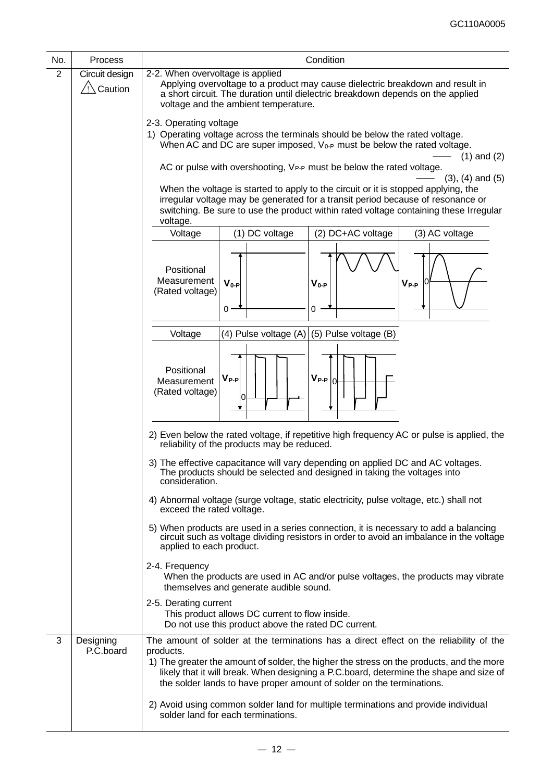| No.            | Process                   | Condition                                                                                                                                                                                                                                                                                                                                                          |  |  |
|----------------|---------------------------|--------------------------------------------------------------------------------------------------------------------------------------------------------------------------------------------------------------------------------------------------------------------------------------------------------------------------------------------------------------------|--|--|
| $\overline{2}$ | Circuit design<br>Caution | 2-2. When overvoltage is applied<br>Applying overvoltage to a product may cause dielectric breakdown and result in<br>a short circuit. The duration until dielectric breakdown depends on the applied<br>voltage and the ambient temperature.                                                                                                                      |  |  |
|                |                           | 2-3. Operating voltage<br>1) Operating voltage across the terminals should be below the rated voltage.<br>When AC and DC are super imposed, $V_{0-P}$ must be below the rated voltage.<br>$(1)$ and $(2)$                                                                                                                                                          |  |  |
|                |                           | AC or pulse with overshooting, V <sub>P-P</sub> must be below the rated voltage.<br>$(3)$ , $(4)$ and $(5)$                                                                                                                                                                                                                                                        |  |  |
|                |                           | When the voltage is started to apply to the circuit or it is stopped applying, the<br>irregular voltage may be generated for a transit period because of resonance or<br>switching. Be sure to use the product within rated voltage containing these Irregular<br>voltage.                                                                                         |  |  |
|                |                           | (1) DC voltage<br>(2) DC+AC voltage<br>(3) AC voltage<br>Voltage                                                                                                                                                                                                                                                                                                   |  |  |
|                |                           | Positional<br>Measurement<br>$V_{0-P}$<br>$V_{0-P}$<br>$\mathsf{V}_{\mathsf{P-P}}$<br>(Rated voltage)<br>$0 -$<br>0                                                                                                                                                                                                                                                |  |  |
|                |                           | (4) Pulse voltage (A) $(5)$ Pulse voltage (B)<br>Voltage                                                                                                                                                                                                                                                                                                           |  |  |
|                |                           | Positional<br>$V_{P-P} _{0}$<br>$V_{P-P}$<br>Measurement<br>(Rated voltage)                                                                                                                                                                                                                                                                                        |  |  |
|                |                           | 2) Even below the rated voltage, if repetitive high frequency AC or pulse is applied, the<br>reliability of the products may be reduced.                                                                                                                                                                                                                           |  |  |
|                |                           | 3) The effective capacitance will vary depending on applied DC and AC voltages.<br>The products should be selected and designed in taking the voltages into<br>consideration.                                                                                                                                                                                      |  |  |
|                |                           | 4) Abnormal voltage (surge voltage, static electricity, pulse voltage, etc.) shall not<br>exceed the rated voltage.                                                                                                                                                                                                                                                |  |  |
|                |                           | 5) When products are used in a series connection, it is necessary to add a balancing<br>circuit such as voltage dividing resistors in order to avoid an imbalance in the voltage<br>applied to each product.                                                                                                                                                       |  |  |
|                |                           | 2-4. Frequency<br>When the products are used in AC and/or pulse voltages, the products may vibrate<br>themselves and generate audible sound.                                                                                                                                                                                                                       |  |  |
|                |                           | 2-5. Derating current<br>This product allows DC current to flow inside.<br>Do not use this product above the rated DC current.                                                                                                                                                                                                                                     |  |  |
| 3              | Designing<br>P.C.board    | The amount of solder at the terminations has a direct effect on the reliability of the<br>products.<br>1) The greater the amount of solder, the higher the stress on the products, and the more<br>likely that it will break. When designing a P.C.board, determine the shape and size of<br>the solder lands to have proper amount of solder on the terminations. |  |  |
|                |                           | 2) Avoid using common solder land for multiple terminations and provide individual<br>solder land for each terminations.                                                                                                                                                                                                                                           |  |  |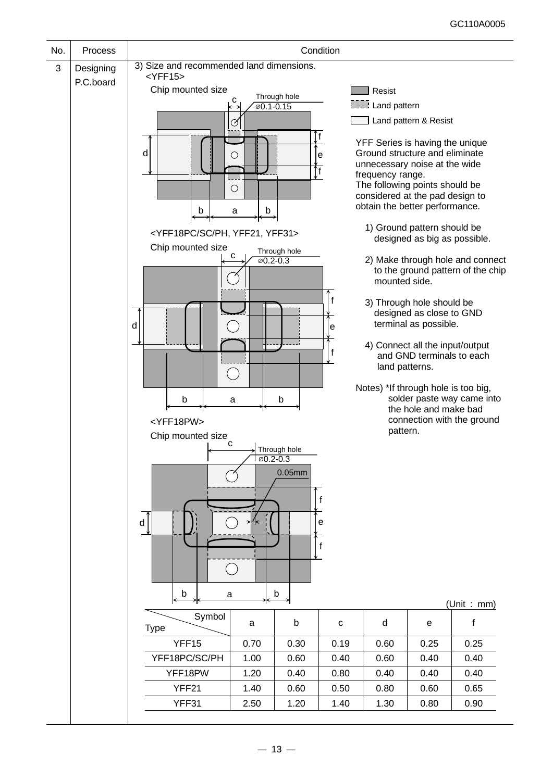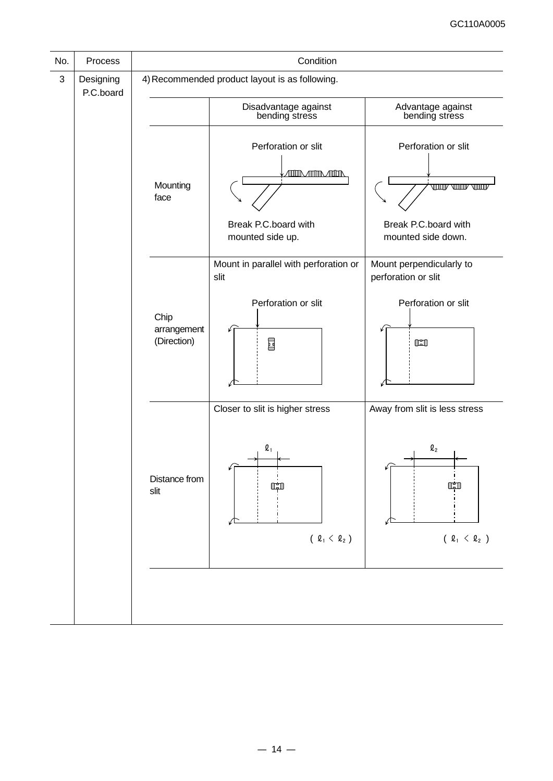| No. | Process                | Condition                          |                                                                                     |                                                                                    |  |  |
|-----|------------------------|------------------------------------|-------------------------------------------------------------------------------------|------------------------------------------------------------------------------------|--|--|
| 3   | Designing<br>P.C.board |                                    | 4) Recommended product layout is as following.                                      |                                                                                    |  |  |
|     |                        |                                    | Disadvantage against<br>bending stress                                              | Advantage against<br>bending stress                                                |  |  |
|     |                        | Mounting<br>face                   | Perforation or slit<br>ÆIDRÆÆIDRÆIDR<br>Break P.C.board with<br>mounted side up.    | Perforation or slit<br>JUUT VUUT VUU<br>Break P.C.board with<br>mounted side down. |  |  |
|     |                        | Chip<br>arrangement<br>(Direction) | Mount in parallel with perforation or<br>slit<br>Perforation or slit<br>国           | Mount perpendicularly to<br>perforation or slit<br>Perforation or slit<br>$\Box$   |  |  |
|     |                        | Distance from<br>slit              | Closer to slit is higher stress<br>$\boldsymbol{\varrho}_1$<br>نقلا<br>(2, 4, 4, 2) | Away from slit is less stress<br>$Q_2$<br>$( \ell_1 < \ell_2 )$                    |  |  |
|     |                        |                                    |                                                                                     |                                                                                    |  |  |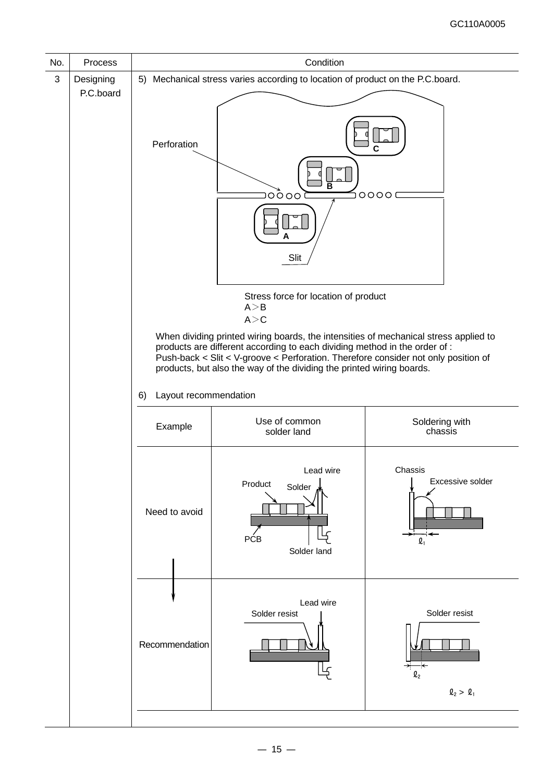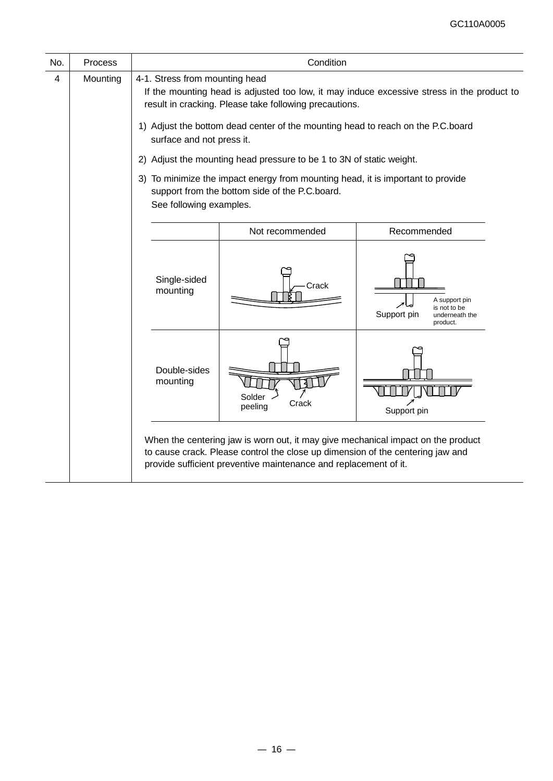| No. | Process  | Condition                                                                                                                                                                                                                                                                                                                                                                                                                                                                                                                                                                                                                                                                                                                                                                    |                                                                                                                                                                                                                                        |  |  |  |  |
|-----|----------|------------------------------------------------------------------------------------------------------------------------------------------------------------------------------------------------------------------------------------------------------------------------------------------------------------------------------------------------------------------------------------------------------------------------------------------------------------------------------------------------------------------------------------------------------------------------------------------------------------------------------------------------------------------------------------------------------------------------------------------------------------------------------|----------------------------------------------------------------------------------------------------------------------------------------------------------------------------------------------------------------------------------------|--|--|--|--|
| 4   | Mounting | 4-1. Stress from mounting head<br>If the mounting head is adjusted too low, it may induce excessive stress in the product to<br>result in cracking. Please take following precautions.<br>1) Adjust the bottom dead center of the mounting head to reach on the P.C.board<br>surface and not press it.<br>2) Adjust the mounting head pressure to be 1 to 3N of static weight.<br>3) To minimize the impact energy from mounting head, it is important to provide<br>support from the bottom side of the P.C.board.<br>See following examples.<br>Not recommended<br>Recommended<br>Single-sided<br>Crack<br>mounting<br>A support pin<br>is not to be<br>Support pin<br>underneath the<br>product.<br>Double-sides<br>mounting<br>Solder<br>Crack<br>peeling<br>Support pin |                                                                                                                                                                                                                                        |  |  |  |  |
|     |          |                                                                                                                                                                                                                                                                                                                                                                                                                                                                                                                                                                                                                                                                                                                                                                              |                                                                                                                                                                                                                                        |  |  |  |  |
|     |          |                                                                                                                                                                                                                                                                                                                                                                                                                                                                                                                                                                                                                                                                                                                                                                              |                                                                                                                                                                                                                                        |  |  |  |  |
|     |          |                                                                                                                                                                                                                                                                                                                                                                                                                                                                                                                                                                                                                                                                                                                                                                              |                                                                                                                                                                                                                                        |  |  |  |  |
|     |          |                                                                                                                                                                                                                                                                                                                                                                                                                                                                                                                                                                                                                                                                                                                                                                              | When the centering jaw is worn out, it may give mechanical impact on the product<br>to cause crack. Please control the close up dimension of the centering jaw and<br>provide sufficient preventive maintenance and replacement of it. |  |  |  |  |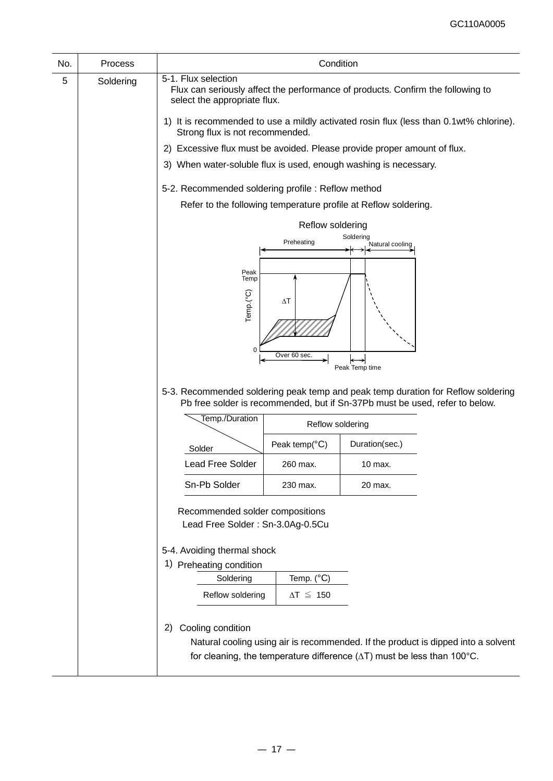| No. | Process   |                                                                                                                                                                                        | Condition                  |                                                                                                                                                                     |  |  |
|-----|-----------|----------------------------------------------------------------------------------------------------------------------------------------------------------------------------------------|----------------------------|---------------------------------------------------------------------------------------------------------------------------------------------------------------------|--|--|
| 5   | Soldering | 5-1. Flux selection<br>select the appropriate flux.                                                                                                                                    |                            | Flux can seriously affect the performance of products. Confirm the following to                                                                                     |  |  |
|     |           | 1) It is recommended to use a mildly activated rosin flux (less than 0.1wt% chlorine).<br>Strong flux is not recommended.                                                              |                            |                                                                                                                                                                     |  |  |
|     |           | 2) Excessive flux must be avoided. Please provide proper amount of flux.                                                                                                               |                            |                                                                                                                                                                     |  |  |
|     |           | 3) When water-soluble flux is used, enough washing is necessary.                                                                                                                       |                            |                                                                                                                                                                     |  |  |
|     |           | 5-2. Recommended soldering profile: Reflow method<br>Refer to the following temperature profile at Reflow soldering.<br>Reflow soldering<br>Soldering<br>Preheating<br>Natural cooling |                            |                                                                                                                                                                     |  |  |
|     |           |                                                                                                                                                                                        |                            |                                                                                                                                                                     |  |  |
|     |           |                                                                                                                                                                                        |                            |                                                                                                                                                                     |  |  |
|     |           |                                                                                                                                                                                        |                            |                                                                                                                                                                     |  |  |
|     |           |                                                                                                                                                                                        |                            |                                                                                                                                                                     |  |  |
|     |           | Peak<br>Temp                                                                                                                                                                           |                            |                                                                                                                                                                     |  |  |
|     |           |                                                                                                                                                                                        | $\Delta T$                 |                                                                                                                                                                     |  |  |
|     |           | Temp.(°C)                                                                                                                                                                              |                            |                                                                                                                                                                     |  |  |
|     |           |                                                                                                                                                                                        |                            |                                                                                                                                                                     |  |  |
|     |           | 0                                                                                                                                                                                      |                            |                                                                                                                                                                     |  |  |
|     |           |                                                                                                                                                                                        | Over 60 sec                | Peak Temp time                                                                                                                                                      |  |  |
|     |           |                                                                                                                                                                                        |                            | 5-3. Recommended soldering peak temp and peak temp duration for Reflow soldering<br>Pb free solder is recommended, but if Sn-37Pb must be used, refer to below.     |  |  |
|     |           | Temp./Duration                                                                                                                                                                         | Reflow soldering           |                                                                                                                                                                     |  |  |
|     |           | Solder                                                                                                                                                                                 | Peak temp( ${}^{\circ}C$ ) | Duration(sec.)                                                                                                                                                      |  |  |
|     |           | <b>Lead Free Solder</b>                                                                                                                                                                | 260 max.                   | 10 max.                                                                                                                                                             |  |  |
|     |           | Sn-Pb Solder                                                                                                                                                                           | 230 max.                   | 20 max.                                                                                                                                                             |  |  |
|     |           | Recommended solder compositions<br>Lead Free Solder: Sn-3.0Ag-0.5Cu                                                                                                                    |                            |                                                                                                                                                                     |  |  |
|     |           | 5-4. Avoiding thermal shock                                                                                                                                                            |                            |                                                                                                                                                                     |  |  |
|     |           |                                                                                                                                                                                        |                            |                                                                                                                                                                     |  |  |
|     |           | Soldering                                                                                                                                                                              | Temp. (°C)                 |                                                                                                                                                                     |  |  |
|     |           | Reflow soldering                                                                                                                                                                       | $\Delta T \leq 150$        |                                                                                                                                                                     |  |  |
|     |           | Cooling condition<br>2)                                                                                                                                                                |                            | Natural cooling using air is recommended. If the product is dipped into a solvent<br>for cleaning, the temperature difference $(\Delta T)$ must be less than 100°C. |  |  |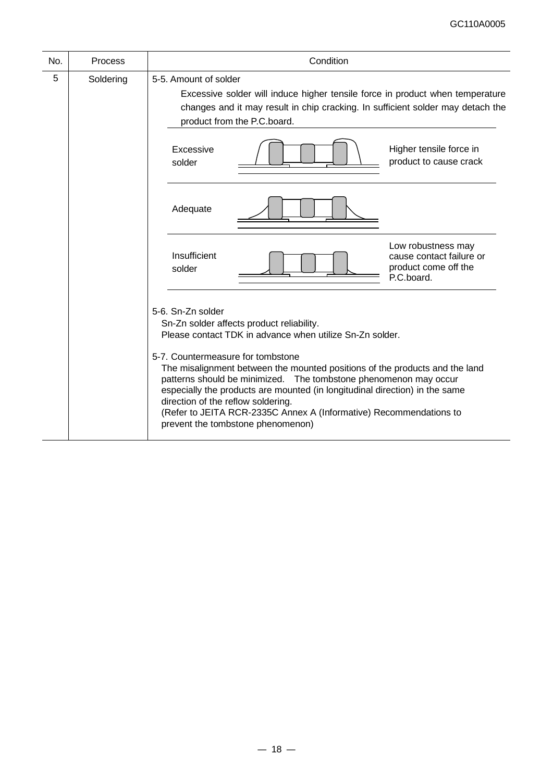| No. | Process   | Condition                                                                                                                                                                                                                                                                                                                                                                                                                                                                                                                                          |  |  |  |  |
|-----|-----------|----------------------------------------------------------------------------------------------------------------------------------------------------------------------------------------------------------------------------------------------------------------------------------------------------------------------------------------------------------------------------------------------------------------------------------------------------------------------------------------------------------------------------------------------------|--|--|--|--|
| 5   | Soldering | 5-5. Amount of solder<br>Excessive solder will induce higher tensile force in product when temperature<br>changes and it may result in chip cracking. In sufficient solder may detach the<br>product from the P.C.board.                                                                                                                                                                                                                                                                                                                           |  |  |  |  |
|     |           | Higher tensile force in<br>Excessive<br>product to cause crack<br>solder                                                                                                                                                                                                                                                                                                                                                                                                                                                                           |  |  |  |  |
|     |           | Adequate                                                                                                                                                                                                                                                                                                                                                                                                                                                                                                                                           |  |  |  |  |
|     |           | Low robustness may<br>Insufficient<br>cause contact failure or<br>product come off the<br>solder<br>P.C.board.                                                                                                                                                                                                                                                                                                                                                                                                                                     |  |  |  |  |
|     |           | 5-6. Sn-Zn solder<br>Sn-Zn solder affects product reliability.<br>Please contact TDK in advance when utilize Sn-Zn solder.<br>5-7. Countermeasure for tombstone<br>The misalignment between the mounted positions of the products and the land<br>patterns should be minimized. The tombstone phenomenon may occur<br>especially the products are mounted (in longitudinal direction) in the same<br>direction of the reflow soldering.<br>(Refer to JEITA RCR-2335C Annex A (Informative) Recommendations to<br>prevent the tombstone phenomenon) |  |  |  |  |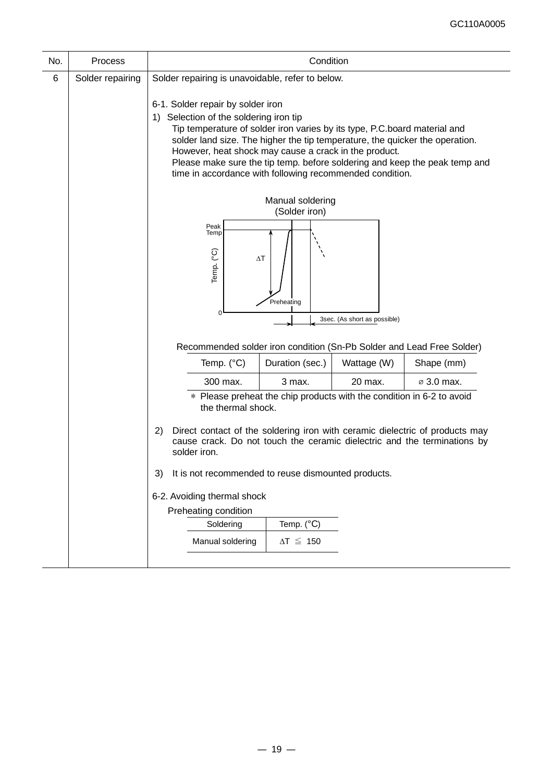| No. | <b>Process</b>   |                                                                                                                                                                                                                                                                                                                                                                                                                                             | Condition                                                             |                              |                        |  |
|-----|------------------|---------------------------------------------------------------------------------------------------------------------------------------------------------------------------------------------------------------------------------------------------------------------------------------------------------------------------------------------------------------------------------------------------------------------------------------------|-----------------------------------------------------------------------|------------------------------|------------------------|--|
| 6   | Solder repairing | Solder repairing is unavoidable, refer to below.                                                                                                                                                                                                                                                                                                                                                                                            |                                                                       |                              |                        |  |
|     |                  | 6-1. Solder repair by solder iron<br>1) Selection of the soldering iron tip<br>Tip temperature of solder iron varies by its type, P.C.board material and<br>solder land size. The higher the tip temperature, the quicker the operation.<br>However, heat shock may cause a crack in the product.<br>Please make sure the tip temp. before soldering and keep the peak temp and<br>time in accordance with following recommended condition. |                                                                       |                              |                        |  |
|     |                  | Manual soldering<br>(Solder iron)                                                                                                                                                                                                                                                                                                                                                                                                           |                                                                       |                              |                        |  |
|     |                  | Peak<br>Temp<br>Temp. (°C)<br>$\Delta T$                                                                                                                                                                                                                                                                                                                                                                                                    |                                                                       |                              |                        |  |
|     |                  |                                                                                                                                                                                                                                                                                                                                                                                                                                             | Preheating                                                            |                              |                        |  |
|     |                  | 0                                                                                                                                                                                                                                                                                                                                                                                                                                           |                                                                       | 3sec. (As short as possible) |                        |  |
|     |                  | Recommended solder iron condition (Sn-Pb Solder and Lead Free Solder)                                                                                                                                                                                                                                                                                                                                                                       |                                                                       |                              |                        |  |
|     |                  | Temp. $(^{\circ}C)$                                                                                                                                                                                                                                                                                                                                                                                                                         | Duration (sec.)                                                       | Wattage (W)                  | Shape (mm)             |  |
|     |                  | 300 max.                                                                                                                                                                                                                                                                                                                                                                                                                                    | 3 max.                                                                | 20 max.                      | $\varnothing$ 3.0 max. |  |
|     |                  | the thermal shock.                                                                                                                                                                                                                                                                                                                                                                                                                          | * Please preheat the chip products with the condition in 6-2 to avoid |                              |                        |  |
|     |                  | Direct contact of the soldering iron with ceramic dielectric of products may<br>2)<br>cause crack. Do not touch the ceramic dielectric and the terminations by<br>solder iron.                                                                                                                                                                                                                                                              |                                                                       |                              |                        |  |
|     |                  | It is not recommended to reuse dismounted products.<br>3)                                                                                                                                                                                                                                                                                                                                                                                   |                                                                       |                              |                        |  |
|     |                  | 6-2. Avoiding thermal shock<br>Preheating condition                                                                                                                                                                                                                                                                                                                                                                                         |                                                                       |                              |                        |  |
|     |                  |                                                                                                                                                                                                                                                                                                                                                                                                                                             |                                                                       |                              |                        |  |
|     |                  | Soldering                                                                                                                                                                                                                                                                                                                                                                                                                                   | Temp. $(^{\circ}C)$                                                   |                              |                        |  |
|     |                  | Manual soldering                                                                                                                                                                                                                                                                                                                                                                                                                            | $\Delta T \leq 150$                                                   |                              |                        |  |
|     |                  |                                                                                                                                                                                                                                                                                                                                                                                                                                             |                                                                       |                              |                        |  |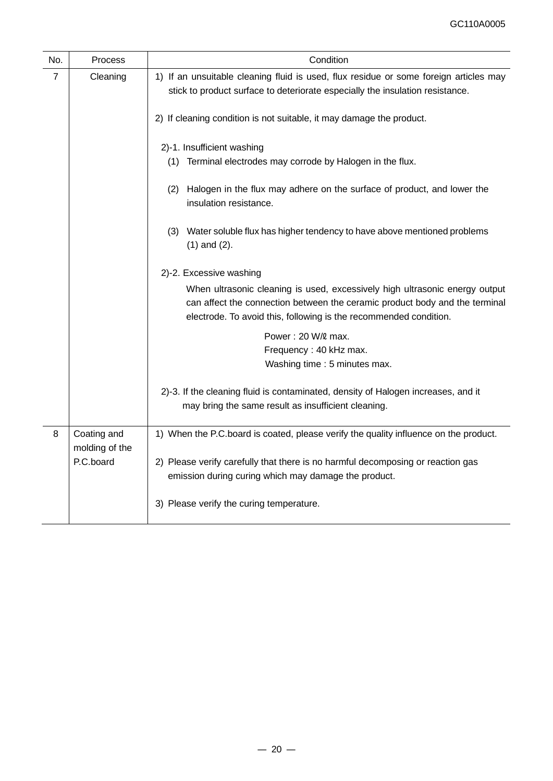| No. | Process                       | Condition                                                                                                                                                                                                                       |  |  |  |  |  |
|-----|-------------------------------|---------------------------------------------------------------------------------------------------------------------------------------------------------------------------------------------------------------------------------|--|--|--|--|--|
| 7   | Cleaning                      | 1) If an unsuitable cleaning fluid is used, flux residue or some foreign articles may<br>stick to product surface to deteriorate especially the insulation resistance.                                                          |  |  |  |  |  |
|     |                               | 2) If cleaning condition is not suitable, it may damage the product.                                                                                                                                                            |  |  |  |  |  |
|     |                               | 2)-1. Insufficient washing                                                                                                                                                                                                      |  |  |  |  |  |
|     |                               | (1) Terminal electrodes may corrode by Halogen in the flux.                                                                                                                                                                     |  |  |  |  |  |
|     |                               | (2) Halogen in the flux may adhere on the surface of product, and lower the<br>insulation resistance.                                                                                                                           |  |  |  |  |  |
|     |                               | (3) Water soluble flux has higher tendency to have above mentioned problems<br>$(1)$ and $(2)$ .                                                                                                                                |  |  |  |  |  |
|     |                               | 2)-2. Excessive washing                                                                                                                                                                                                         |  |  |  |  |  |
|     |                               | When ultrasonic cleaning is used, excessively high ultrasonic energy output<br>can affect the connection between the ceramic product body and the terminal<br>electrode. To avoid this, following is the recommended condition. |  |  |  |  |  |
|     |                               | Power: 20 W/2 max.                                                                                                                                                                                                              |  |  |  |  |  |
|     |                               | Frequency: 40 kHz max.                                                                                                                                                                                                          |  |  |  |  |  |
|     |                               | Washing time: 5 minutes max.                                                                                                                                                                                                    |  |  |  |  |  |
|     |                               | 2)-3. If the cleaning fluid is contaminated, density of Halogen increases, and it                                                                                                                                               |  |  |  |  |  |
|     |                               | may bring the same result as insufficient cleaning.                                                                                                                                                                             |  |  |  |  |  |
| 8   | Coating and<br>molding of the | 1) When the P.C.board is coated, please verify the quality influence on the product.                                                                                                                                            |  |  |  |  |  |
|     | P.C.board                     | 2) Please verify carefully that there is no harmful decomposing or reaction gas                                                                                                                                                 |  |  |  |  |  |
|     |                               | emission during curing which may damage the product.                                                                                                                                                                            |  |  |  |  |  |
|     |                               | 3) Please verify the curing temperature.                                                                                                                                                                                        |  |  |  |  |  |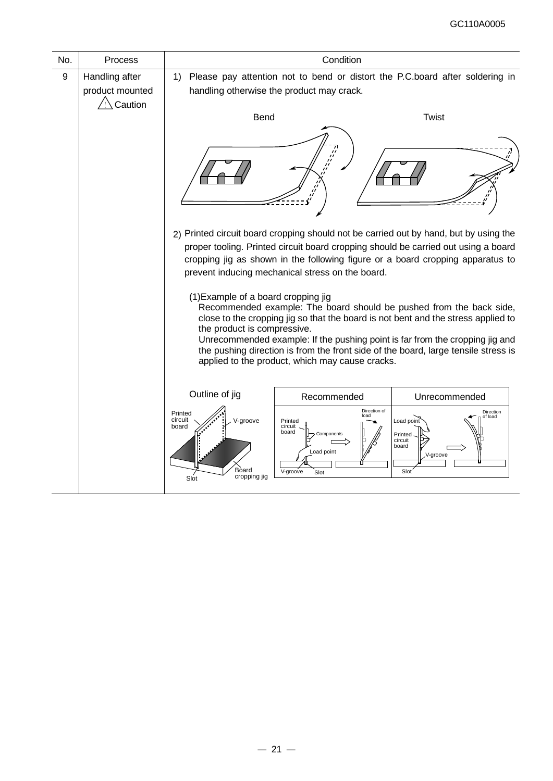| No.              | Process                                      | Condition                                                                                                                                                                                                                                                                                                         |                                                                                                                                                                                                                                                                                                                                                                                                                                                         |                                                                                       |  |  |
|------------------|----------------------------------------------|-------------------------------------------------------------------------------------------------------------------------------------------------------------------------------------------------------------------------------------------------------------------------------------------------------------------|---------------------------------------------------------------------------------------------------------------------------------------------------------------------------------------------------------------------------------------------------------------------------------------------------------------------------------------------------------------------------------------------------------------------------------------------------------|---------------------------------------------------------------------------------------|--|--|
| $\boldsymbol{9}$ | Handling after<br>product mounted<br>Caution | 1)                                                                                                                                                                                                                                                                                                                | Please pay attention not to bend or distort the P.C.board after soldering in<br>handling otherwise the product may crack.                                                                                                                                                                                                                                                                                                                               |                                                                                       |  |  |
|                  |                                              | <b>Bend</b>                                                                                                                                                                                                                                                                                                       |                                                                                                                                                                                                                                                                                                                                                                                                                                                         | <b>Twist</b>                                                                          |  |  |
|                  |                                              |                                                                                                                                                                                                                                                                                                                   |                                                                                                                                                                                                                                                                                                                                                                                                                                                         |                                                                                       |  |  |
|                  |                                              | 2) Printed circuit board cropping should not be carried out by hand, but by using the<br>proper tooling. Printed circuit board cropping should be carried out using a board<br>cropping jig as shown in the following figure or a board cropping apparatus to<br>prevent inducing mechanical stress on the board. |                                                                                                                                                                                                                                                                                                                                                                                                                                                         |                                                                                       |  |  |
|                  |                                              |                                                                                                                                                                                                                                                                                                                   | (1) Example of a board cropping jig<br>Recommended example: The board should be pushed from the back side,<br>close to the cropping jig so that the board is not bent and the stress applied to<br>the product is compressive.<br>Unrecommended example: If the pushing point is far from the cropping jig and<br>the pushing direction is from the front side of the board, large tensile stress is<br>applied to the product, which may cause cracks. |                                                                                       |  |  |
|                  |                                              | Outline of jig<br>Recommended<br>Unrecommended                                                                                                                                                                                                                                                                    |                                                                                                                                                                                                                                                                                                                                                                                                                                                         |                                                                                       |  |  |
|                  |                                              | Printed<br>circuit<br>V-groove<br>board<br>Board<br>cropping jig<br>Slot                                                                                                                                                                                                                                          | Direction of<br>load<br>Printed<br>circuit<br>board<br>Components<br>Load point<br>V-groove<br>Slot                                                                                                                                                                                                                                                                                                                                                     | Direction<br>of load<br>Load point<br>Printed<br>circuit<br>board<br>V-groove<br>Slot |  |  |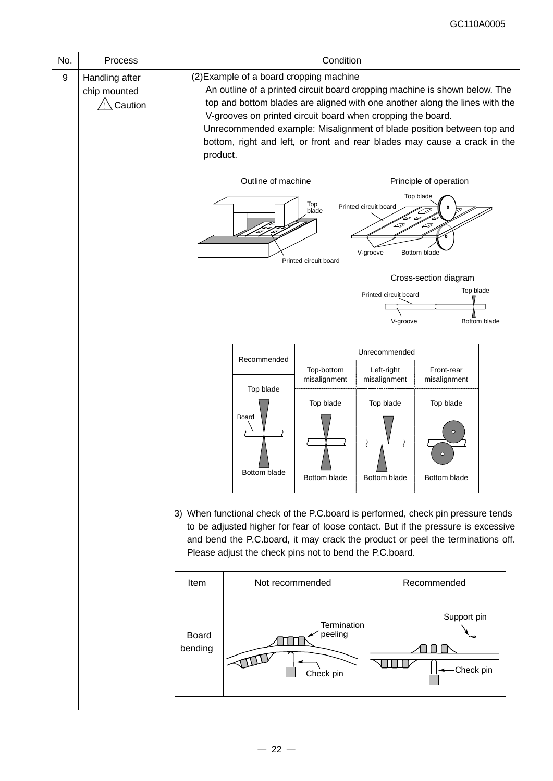| No. | Process        | Condition                                                                   |                                                                                   |                            |                            |                            |  |
|-----|----------------|-----------------------------------------------------------------------------|-----------------------------------------------------------------------------------|----------------------------|----------------------------|----------------------------|--|
| 9   | Handling after | (2) Example of a board cropping machine                                     |                                                                                   |                            |                            |                            |  |
|     | chip mounted   | An outline of a printed circuit board cropping machine is shown below. The  |                                                                                   |                            |                            |                            |  |
|     | Caution        | top and bottom blades are aligned with one another along the lines with the |                                                                                   |                            |                            |                            |  |
|     |                | V-grooves on printed circuit board when cropping the board.                 |                                                                                   |                            |                            |                            |  |
|     |                |                                                                             | Unrecommended example: Misalignment of blade position between top and             |                            |                            |                            |  |
|     |                | bottom, right and left, or front and rear blades may cause a crack in the   |                                                                                   |                            |                            |                            |  |
|     |                | product.                                                                    |                                                                                   |                            |                            |                            |  |
|     |                |                                                                             | Outline of machine                                                                |                            |                            | Principle of operation     |  |
|     |                |                                                                             |                                                                                   | Top<br>blade               | Printed circuit board      | Top blade<br>Æ             |  |
|     |                |                                                                             |                                                                                   |                            | 4                          | D                          |  |
|     |                |                                                                             |                                                                                   |                            |                            |                            |  |
|     |                |                                                                             |                                                                                   | Printed circuit board      | V-groove                   | Bottom blade               |  |
|     |                |                                                                             |                                                                                   |                            |                            | Cross-section diagram      |  |
|     |                |                                                                             |                                                                                   |                            | Printed circuit board      | Top blade                  |  |
|     |                |                                                                             |                                                                                   |                            |                            |                            |  |
|     |                |                                                                             |                                                                                   |                            | V-groove                   | Bottom blade               |  |
|     |                |                                                                             |                                                                                   |                            |                            |                            |  |
|     |                |                                                                             | Recommended                                                                       |                            | Unrecommended              |                            |  |
|     |                |                                                                             | Top blade                                                                         | Top-bottom<br>misalignment | Left-right<br>misalignment | Front-rear<br>misalignment |  |
|     |                |                                                                             |                                                                                   | Top blade                  | Top blade                  | Top blade                  |  |
|     |                |                                                                             | Board                                                                             |                            |                            |                            |  |
|     |                |                                                                             |                                                                                   |                            |                            |                            |  |
|     |                |                                                                             |                                                                                   |                            |                            | $\circ$                    |  |
|     |                |                                                                             |                                                                                   |                            |                            |                            |  |
|     |                |                                                                             | Bottom blade                                                                      | Bottom blade               | Bottom blade               | Bottom blade               |  |
|     |                |                                                                             |                                                                                   |                            |                            |                            |  |
|     |                |                                                                             | 3) When functional check of the P.C.board is performed, check pin pressure tends  |                            |                            |                            |  |
|     |                |                                                                             | to be adjusted higher for fear of loose contact. But if the pressure is excessive |                            |                            |                            |  |
|     |                |                                                                             | and bend the P.C.board, it may crack the product or peel the terminations off.    |                            |                            |                            |  |
|     |                |                                                                             | Please adjust the check pins not to bend the P.C.board.                           |                            |                            |                            |  |
|     |                | Not recommended<br>Recommended<br>Item                                      |                                                                                   |                            |                            |                            |  |
|     |                |                                                                             |                                                                                   |                            |                            |                            |  |
|     |                | Support pin                                                                 |                                                                                   |                            |                            |                            |  |
|     |                | <b>Termination</b><br>peeling                                               |                                                                                   |                            |                            |                            |  |
|     |                | bending                                                                     | <b>Board</b>                                                                      |                            |                            |                            |  |
|     |                |                                                                             |                                                                                   |                            |                            |                            |  |
|     |                |                                                                             |                                                                                   | Check pin                  |                            | Check pin                  |  |
|     |                |                                                                             |                                                                                   |                            |                            |                            |  |
|     |                |                                                                             |                                                                                   |                            |                            |                            |  |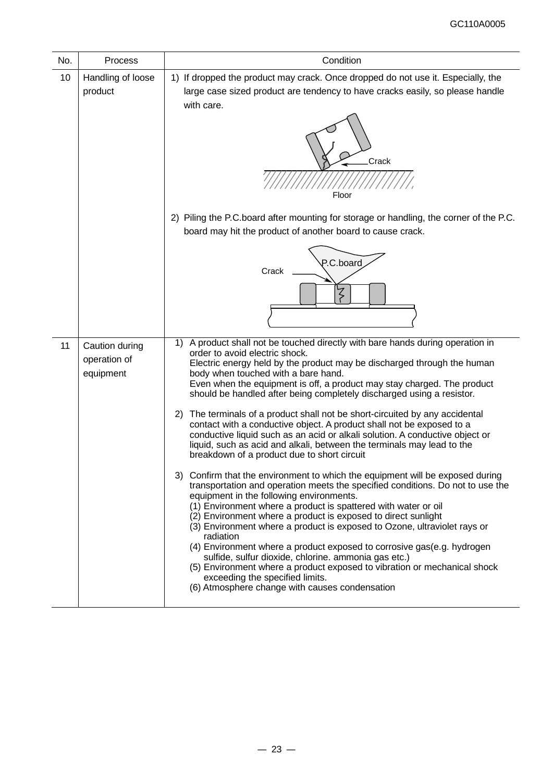| No. | Process                                     | Condition                                                                                                                                                                                                                                                                                                                                                                                                                                                                                                                                                                                                                                                                                                                                                                                                                                                                                                                                                                                                                                                                                                                                                                                                                                                                                                                                                                                                                                                                                                    |
|-----|---------------------------------------------|--------------------------------------------------------------------------------------------------------------------------------------------------------------------------------------------------------------------------------------------------------------------------------------------------------------------------------------------------------------------------------------------------------------------------------------------------------------------------------------------------------------------------------------------------------------------------------------------------------------------------------------------------------------------------------------------------------------------------------------------------------------------------------------------------------------------------------------------------------------------------------------------------------------------------------------------------------------------------------------------------------------------------------------------------------------------------------------------------------------------------------------------------------------------------------------------------------------------------------------------------------------------------------------------------------------------------------------------------------------------------------------------------------------------------------------------------------------------------------------------------------------|
| 10  | Handling of loose<br>product                | 1) If dropped the product may crack. Once dropped do not use it. Especially, the<br>large case sized product are tendency to have cracks easily, so please handle<br>with care.<br>Crack<br>Floor<br>2) Piling the P.C.board after mounting for storage or handling, the corner of the P.C.<br>board may hit the product of another board to cause crack.<br>P.C.board<br>Crack<br>ζ                                                                                                                                                                                                                                                                                                                                                                                                                                                                                                                                                                                                                                                                                                                                                                                                                                                                                                                                                                                                                                                                                                                         |
| 11  | Caution during<br>operation of<br>equipment | A product shall not be touched directly with bare hands during operation in<br>1)<br>order to avoid electric shock.<br>Electric energy held by the product may be discharged through the human<br>body when touched with a bare hand.<br>Even when the equipment is off, a product may stay charged. The product<br>should be handled after being completely discharged using a resistor.<br>The terminals of a product shall not be short-circuited by any accidental<br>2)<br>contact with a conductive object. A product shall not be exposed to a<br>conductive liquid such as an acid or alkali solution. A conductive object or<br>liquid, such as acid and alkali, between the terminals may lead to the<br>breakdown of a product due to short circuit<br>3) Confirm that the environment to which the equipment will be exposed during<br>transportation and operation meets the specified conditions. Do not to use the<br>equipment in the following environments.<br>(1) Environment where a product is spattered with water or oil<br>(2) Environment where a product is exposed to direct sunlight<br>(3) Environment where a product is exposed to Ozone, ultraviolet rays or<br>radiation<br>(4) Environment where a product exposed to corrosive gas(e.g. hydrogen<br>sulfide, sulfur dioxide, chlorine. ammonia gas etc.)<br>(5) Environment where a product exposed to vibration or mechanical shock<br>exceeding the specified limits.<br>(6) Atmosphere change with causes condensation |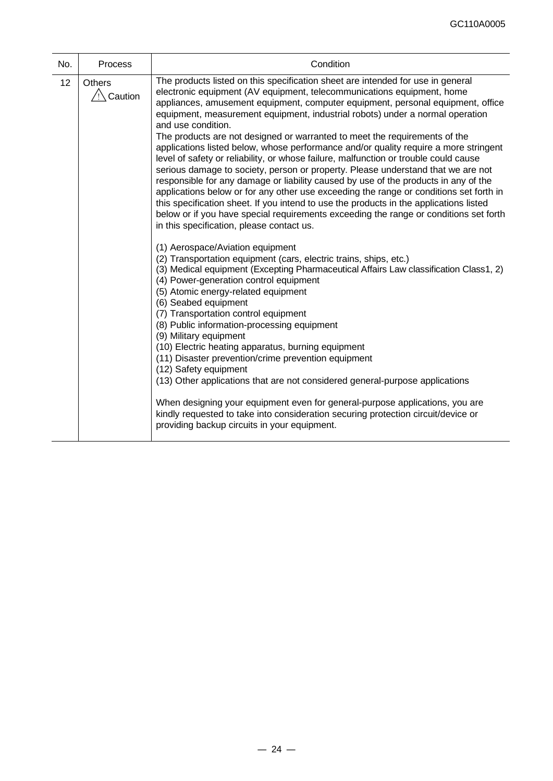| No. | <b>Process</b>                      | Condition                                                                                                                                                                                                                                                                                                                                                                                                                                                                                                                                                                                                                                                                                                                                                                                                                                                                                                                                                                                                                                                                                                              |
|-----|-------------------------------------|------------------------------------------------------------------------------------------------------------------------------------------------------------------------------------------------------------------------------------------------------------------------------------------------------------------------------------------------------------------------------------------------------------------------------------------------------------------------------------------------------------------------------------------------------------------------------------------------------------------------------------------------------------------------------------------------------------------------------------------------------------------------------------------------------------------------------------------------------------------------------------------------------------------------------------------------------------------------------------------------------------------------------------------------------------------------------------------------------------------------|
| 12  | <b>Others</b><br>$\sqrt{2}$ Caution | The products listed on this specification sheet are intended for use in general<br>electronic equipment (AV equipment, telecommunications equipment, home<br>appliances, amusement equipment, computer equipment, personal equipment, office<br>equipment, measurement equipment, industrial robots) under a normal operation<br>and use condition.<br>The products are not designed or warranted to meet the requirements of the<br>applications listed below, whose performance and/or quality require a more stringent<br>level of safety or reliability, or whose failure, malfunction or trouble could cause<br>serious damage to society, person or property. Please understand that we are not<br>responsible for any damage or liability caused by use of the products in any of the<br>applications below or for any other use exceeding the range or conditions set forth in<br>this specification sheet. If you intend to use the products in the applications listed<br>below or if you have special requirements exceeding the range or conditions set forth<br>in this specification, please contact us. |
|     |                                     | (1) Aerospace/Aviation equipment<br>(2) Transportation equipment (cars, electric trains, ships, etc.)<br>(3) Medical equipment (Excepting Pharmaceutical Affairs Law classification Class1, 2)<br>(4) Power-generation control equipment<br>(5) Atomic energy-related equipment<br>(6) Seabed equipment<br>(7) Transportation control equipment<br>(8) Public information-processing equipment<br>(9) Military equipment<br>(10) Electric heating apparatus, burning equipment<br>(11) Disaster prevention/crime prevention equipment<br>(12) Safety equipment<br>(13) Other applications that are not considered general-purpose applications                                                                                                                                                                                                                                                                                                                                                                                                                                                                         |
|     |                                     | When designing your equipment even for general-purpose applications, you are<br>kindly requested to take into consideration securing protection circuit/device or<br>providing backup circuits in your equipment.                                                                                                                                                                                                                                                                                                                                                                                                                                                                                                                                                                                                                                                                                                                                                                                                                                                                                                      |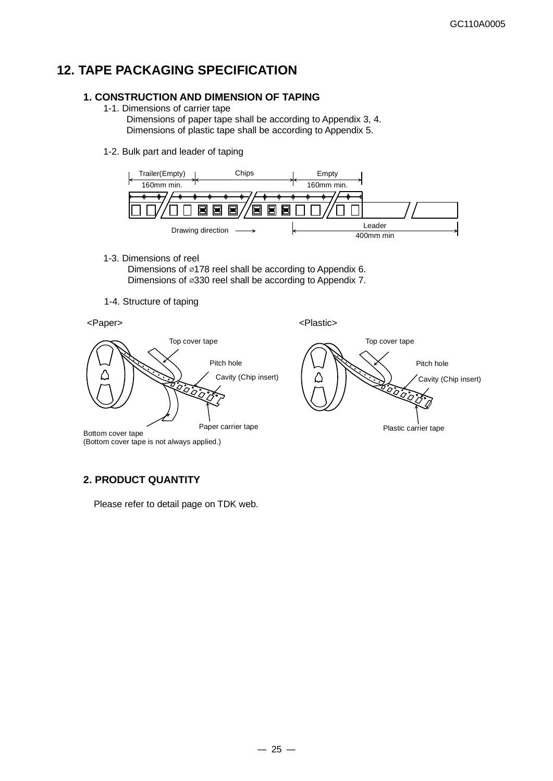# **12. TAPE PACKAGING SPECIFICATION**

### **1. CONSTRUCTION AND DIMENSION OF TAPING**

- 1-1. Dimensions of carrier tape
	- Dimensions of paper tape shall be according to Appendix 3, 4. Dimensions of plastic tape shall be according to Appendix 5.
- 1-2. Bulk part and leader of taping



1-3. Dimensions of reel

 Dimensions of ⌀178 reel shall be according to Appendix 6. Dimensions of ⌀330 reel shall be according to Appendix 7.

1-4. Structure of taping



### **2. PRODUCT QUANTITY**

Please refer to detail page on TDK web.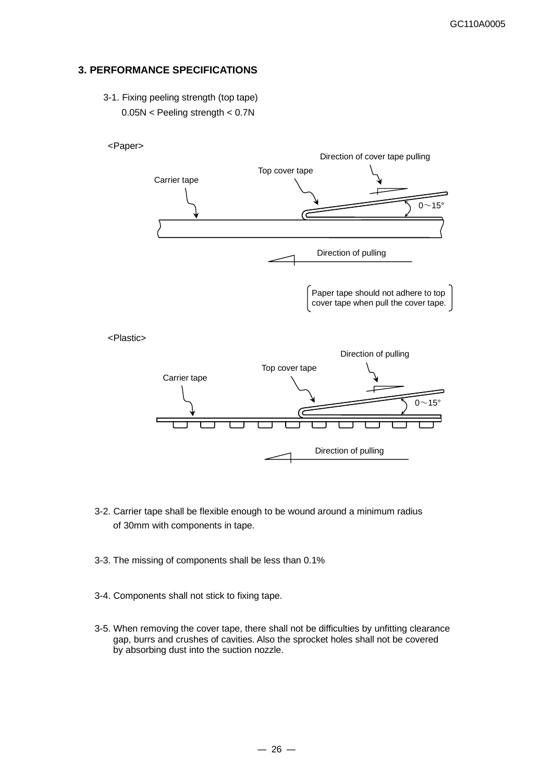### **3. PERFORMANCE SPECIFICATIONS**

3-1. Fixing peeling strength (top tape)

0.05N < Peeling strength < 0.7N



- 3-2. Carrier tape shall be flexible enough to be wound around a minimum radius of 30mm with components in tape.
- 3-3. The missing of components shall be less than 0.1%
- 3-4. Components shall not stick to fixing tape.
- 3-5. When removing the cover tape, there shall not be difficulties by unfitting clearance gap, burrs and crushes of cavities. Also the sprocket holes shall not be covered by absorbing dust into the suction nozzle.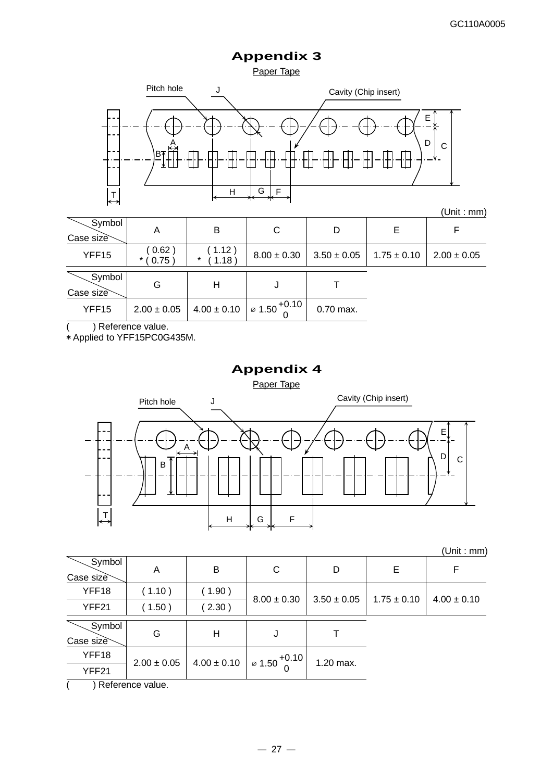# **Appendix 3**





(Unit : mm)

| Case size           | Α                    | B                   | C                                          | D               | Е               |                 |
|---------------------|----------------------|---------------------|--------------------------------------------|-----------------|-----------------|-----------------|
| YFF15               | (0.62)<br>$*$ ( 0.75 | (1.12)<br>*<br>1.18 | $8.00 \pm 0.30$                            | $3.50 \pm 0.05$ | $1.75 \pm 0.10$ | $2.00 \pm 0.05$ |
| Symbol<br>Case size | G                    | н                   |                                            |                 |                 |                 |
| YFF15               | $2.00 \pm 0.05$      | $4.00 \pm 0.10$     | $\cdot$ 1 $\sigma$ 1.50 <sup>+0.10</sup> 1 | $0.70$ max.     |                 |                 |

( ) Reference value.

\* Applied to YFF15PC0G435M.

# **Appendix 4** Paper Tape  $\overrightarrow{P}$  H G F A Pitch hole J B Cavity (Chip insert) E  $\mathsf{D}$  c

(Unit : mm)

| Symbol<br>Case size | Α               | B               | С                                                 | D               | E               |                 |
|---------------------|-----------------|-----------------|---------------------------------------------------|-----------------|-----------------|-----------------|
| YFF18               | (1.10)          | 1.90)           | $8.00 \pm 0.30$                                   | $3.50 \pm 0.05$ | $1.75 \pm 0.10$ | $4.00 \pm 0.10$ |
| YFF21               | 1.50)           | 2.30)           |                                                   |                 |                 |                 |
| Symbol<br>Case size | G               | Н               |                                                   |                 |                 |                 |
| YFF18               | $2.00 \pm 0.05$ | $4.00 \pm 0.10$ | $\frac{1}{2}$ $\frac{6}{2}$ 1.50 <sup>+0.10</sup> | 1.20 max.       |                 |                 |
| YFF21               |                 |                 |                                                   |                 |                 |                 |
| $\sqrt{2}$          |                 |                 |                                                   |                 |                 |                 |

 $($  ) Reference value.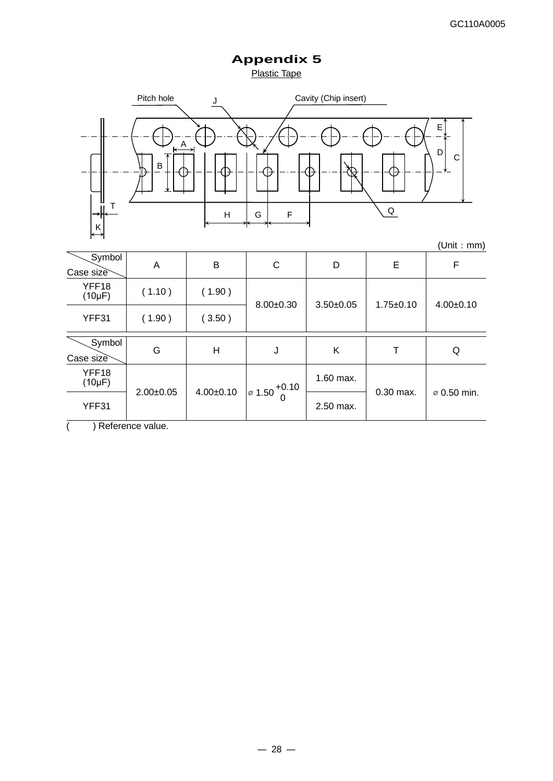**Appendix 5** Plastic Tape



|                      |                 |                 |                                          |               |                 | , ווווווי, וווווו       |
|----------------------|-----------------|-----------------|------------------------------------------|---------------|-----------------|-------------------------|
| Symbol<br>Case size  | A               | B               | C                                        | D             | E               | F                       |
| YFF18<br>$(10\mu F)$ | (1.10)          | (1.90)          | $8.00+0.30$                              | $3.50 + 0.05$ | $1.75 \pm 0.10$ | $4.00+0.10$             |
| YFF31                | (1.90)          | (3.50)          |                                          |               |                 |                         |
| Symbol<br>Case size  | G               | H               | J                                        | K             | т               | Q                       |
| YFF18<br>$(10\mu F)$ | $2.00 \pm 0.05$ | $4.00 \pm 0.10$ | $\frac{1}{2}$ 1.50 <sup>+0.10</sup><br>0 | 1.60 max.     | 0.30 max.       | $\varnothing$ 0.50 min. |
| YFF31                |                 |                 |                                          | 2.50 max.     |                 |                         |

( ) Reference value.